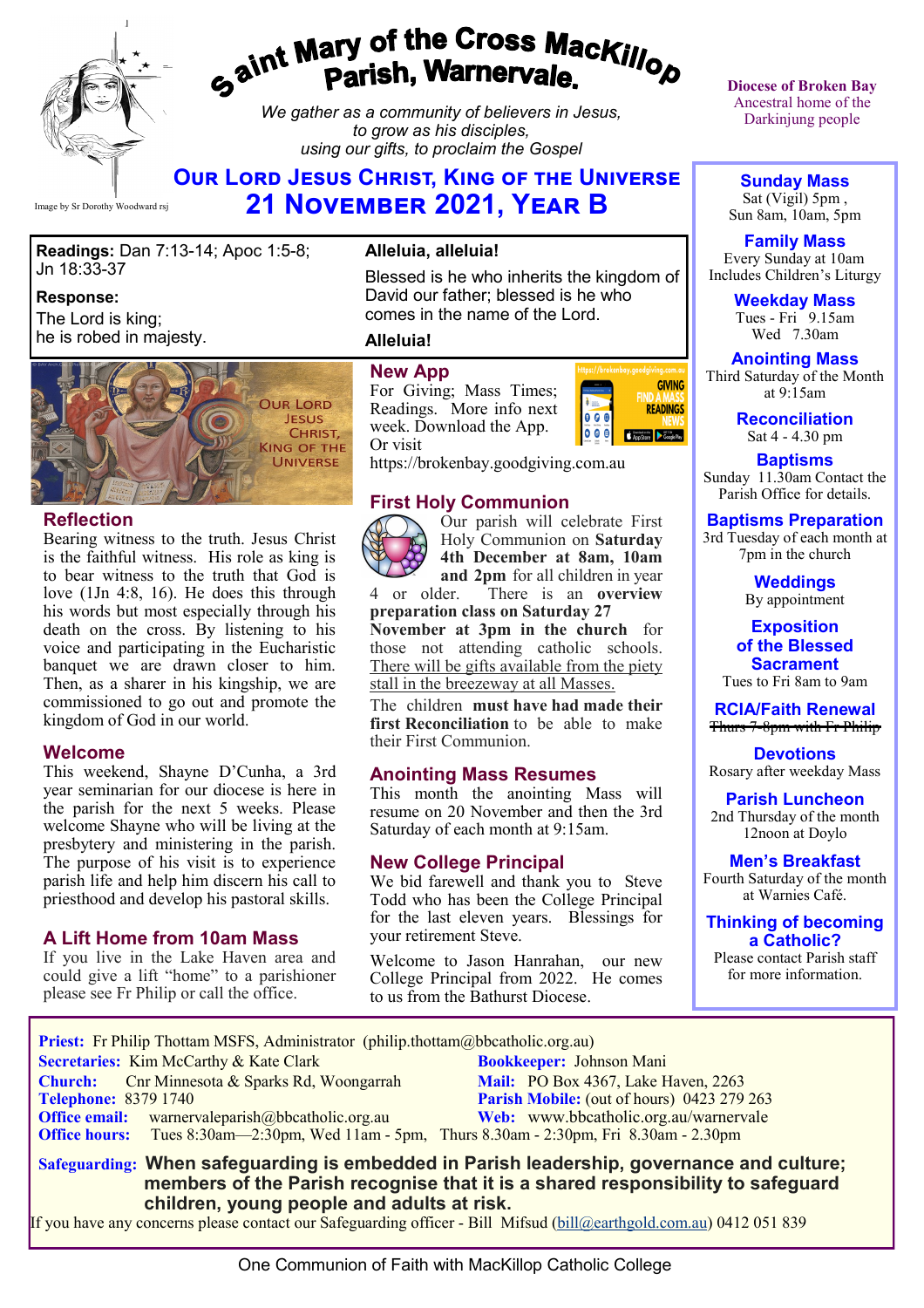

# gaint Mary of the Cross Mackillop<br>g<sup>aint</sup> Parish, Warnervale.

*We gather as a community of believers in Jesus, to grow as his disciples, using our gifts, to proclaim the Gospel*

# **Our Lord Jesus Christ, King of the Universe 21 November 2021, Year B**

**Readings:** Dan 7:13-14; Apoc 1:5-8; Jn 18:33-37

#### **Response:**

The Lord is king; he is robed in majesty.



#### **Reflection**

Bearing witness to the truth. Jesus Christ is the faithful witness. His role as king is to bear witness to the truth that God is love (1Jn 4:8, 16). He does this through his words but most especially through his death on the cross. By listening to his voice and participating in the Eucharistic banquet we are drawn closer to him. Then, as a sharer in his kingship, we are commissioned to go out and promote the kingdom of God in our world.

#### **Welcome**

This weekend, Shayne D'Cunha, a 3rd year seminarian for our diocese is here in the parish for the next 5 weeks. Please welcome Shayne who will be living at the presbytery and ministering in the parish. The purpose of his visit is to experience parish life and help him discern his call to priesthood and develop his pastoral skills.

#### **A Lift Home from 10am Mass**

If you live in the Lake Haven area and could give a lift "home" to a parishioner please see Fr Philip or call the office.

#### **Alleluia, alleluia!**

Blessed is he who inherits the kingdom of David our father; blessed is he who comes in the name of the Lord.

#### **Alleluia!**

#### **New App**

For Giving; Mass Times; Readings. More info next week. Download the App. Or visit



https://brokenbay.goodgiving.com.au

#### **First Holy Communion**



Our parish will celebrate First Holy Communion on **Saturday 4th December at 8am, 10am and 2pm** for all children in year

4 or older. There is an **overview preparation class on Saturday 27 November at 3pm in the church** for those not attending catholic schools. There will be gifts available from the piety

stall in the breezeway at all Masses. The children **must have had made their** 

**first Reconciliation** to be able to make their First Communion.

#### **Anointing Mass Resumes**

This month the anointing Mass will resume on 20 November and then the 3rd Saturday of each month at 9:15am.

#### **New College Principal**

We bid farewell and thank you to Steve Todd who has been the College Principal for the last eleven years. Blessings for your retirement Steve.

Welcome to Jason Hanrahan, our new College Principal from 2022. He comes to us from the Bathurst Diocese.

**Diocese of Broken Bay**  Ancestral home of the Darkinjung people

**Sunday Mass** Sat (Vigil) 5pm , Sun 8am, 10am, 5pm

**Family Mass**  Every Sunday at 10am Includes Children's Liturgy

> **Weekday Mass** Tues - Fri 9.15am Wed 7.30am

**Anointing Mass** Third Saturday of the Month at 9:15am

> **Reconciliation** Sat 4 - 4.30 pm

**Baptisms** Sunday 11.30am Contact the Parish Office for details.

#### **Baptisms Preparation**

3rd Tuesday of each month at 7pm in the church

> **Weddings**  By appointment

**Exposition of the Blessed Sacrament** Tues to Fri 8am to 9am

**RCIA/Faith Renewal**  Thurs 7-8pm with Fr Philip

**Devotions** Rosary after weekday Mass

**Parish Luncheon** 2nd Thursday of the month 12noon at Doylo

**Men's Breakfast** Fourth Saturday of the month at Warnies Café.

**Thinking of becoming a Catholic?**

Please contact Parish staff for more information.

 **Priest:** Fr Philip Thottam MSFS, Administrator (philip.thottam@bbcatholic.org.au) **Secretaries:** Kim McCarthy & Kate Clark **Bookkeeper:** Johnson Mani **Church:** Cnr Minnesota & Sparks Rd, Woongarrah **Mail: PO Box 4367, Lake Haven, 2263**<br> **Parish Mobile:** (out of hours) 0423 279 **Parish Mobile:** (out of hours) 0423 279 263<br>Web: www.bbcatholic.org.au/warnervale **Office email:** warnervaleparish@bbcatholic.org.au **Office hours:** Tues 8:30am—2:30pm, Wed 11am - 5pm, Thurs 8.30am - 2:30pm, Fri 8.30am - 2.30pm  **Safeguarding: When safeguarding is embedded in Parish leadership, governance and culture;** 

 **members of the Parish recognise that it is a shared responsibility to safeguard children, young people and adults at risk.**

If you have any concerns please contact our Safeguarding officer - Bill Mifsud ([bill@earthgold.com.au\)](mailto:bill@earthgold.com.au) 0412 051 839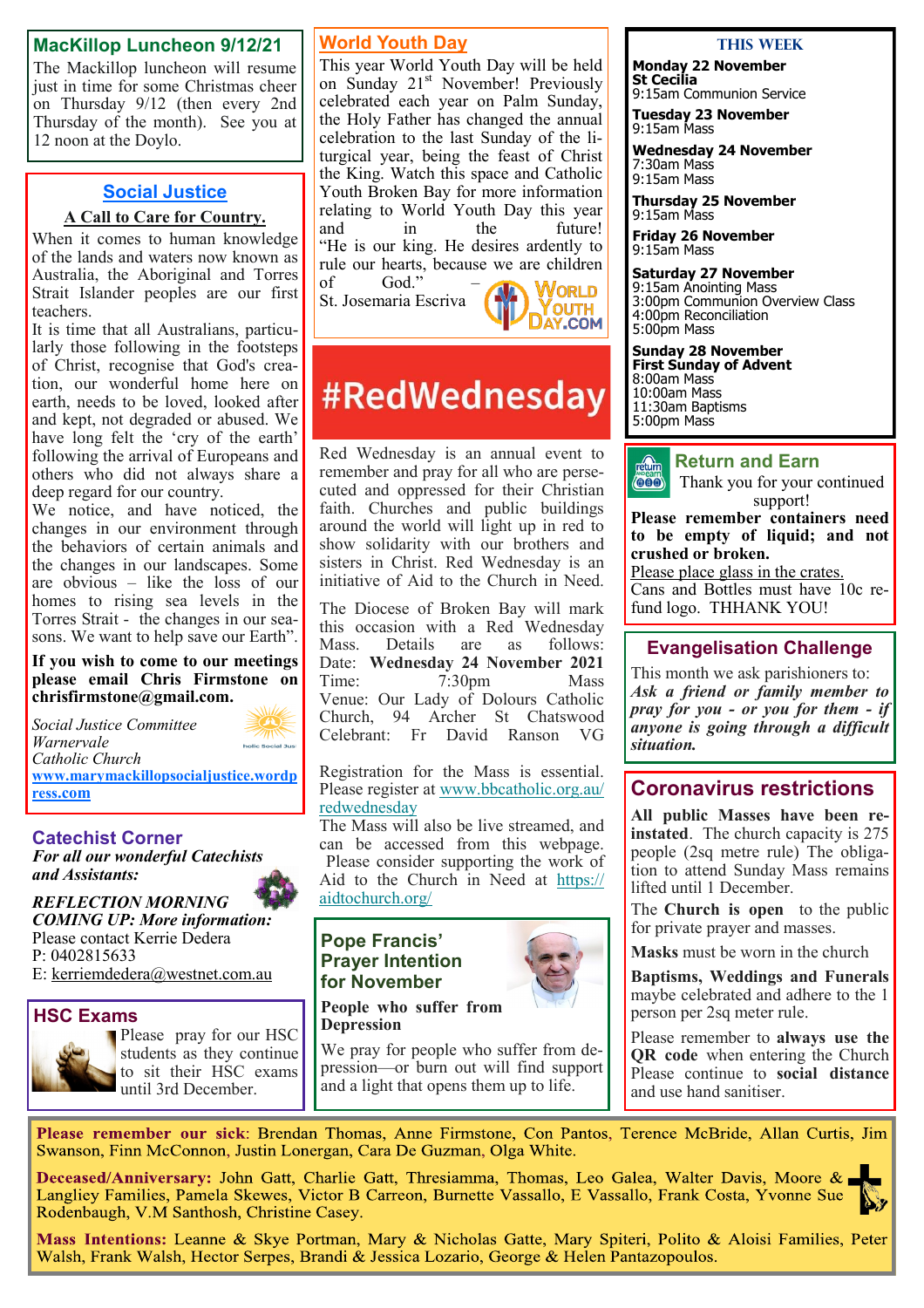#### **MacKillop Luncheon 9/12/21**

The Mackillop luncheon will resume just in time for some Christmas cheer on Thursday 9/12 (then every 2nd Thursday of the month). See you at 12 noon at the Doylo.

#### **Social Justice**

#### **A Call to Care for Country.**

When it comes to human knowledge of the lands and waters now known as Australia, the Aboriginal and Torres Strait Islander peoples are our first teachers.

It is time that all Australians, particularly those following in the footsteps of Christ, recognise that God's creation, our wonderful home here on earth, needs to be loved, looked after and kept, not degraded or abused. We have long felt the 'cry of the earth' following the arrival of Europeans and others who did not always share a deep regard for our country.

We notice, and have noticed, the changes in our environment through the behaviors of certain animals and the changes in our landscapes. Some are obvious – like the loss of our homes to rising sea levels in the Torres Strait - the changes in our seasons. We want to help save our Earth".

**If you wish to come to our meetings please email Chris Firmstone on chrisfirmstone@gmail.com.**

*Social Justice Committee Warnervale*  holic Social Just *Catholic Church*  **[www.marymackillopsocialjustice.wordp](http://www.marymackillopsocialjustice.wordpress.com) ress[.com](http://www.marymackillopsocialjustice.wordpress.com)**

#### **Catechist Corner**

*For all our wonderful Catechists and Assistants:*

*REFLECTION MORNING COMING UP: More information:* Please contact Kerrie Dedera P: 0402815633 E: [kerriemdedera@westnet.com.au](mailto:kerriemdedera@westnet.com.au)

**HSC Exams** Please pray for our HSC students as they continue to sit their HSC exams until 3rd December.

## **World Youth Day**

This year World Youth Day will be held on Sunday 21<sup>st</sup> November! Previously celebrated each year on Palm Sunday, the Holy Father has changed the annual celebration to the last Sunday of the liturgical year, being the feast of Christ the King. Watch this space and Catholic Youth Broken Bay for more information relating to World Youth Day this year<br>and in the future! in the future! "He is our king. He desires ardently to rule our hearts, because we are children<br>of  $\begin{bmatrix} God." & - \end{bmatrix}$  $God."$ 

St. Josemaria Escriva



# #RedWednesday

Red Wednesday is an annual event to remember and pray for all who are persecuted and oppressed for their Christian faith. Churches and public buildings around the world will light up in red to show solidarity with our brothers and sisters in Christ. Red Wednesday is an initiative of Aid to the Church in Need.

The Diocese of Broken Bay will mark this occasion with a Red Wednesday<br>Mass. Details are as follows: Details are as follows: Date: **Wednesday 24 November 2021**<br>Time: 7:30pm Mass  $7:30$ pm Venue: Our Lady of Dolours Catholic Church, 94 Archer St Chatswood Celebrant: Fr David Ranson VG

Registration for the Mass is essential. Please register at [www.bbcatholic.org.au/](https://bbcatholic.us8.list-manage.com/track/click?u=466af249e088db70ab864d088&id=89cc3e5cf8&e=e312df0f80) [redwednesday](https://bbcatholic.us8.list-manage.com/track/click?u=466af249e088db70ab864d088&id=89cc3e5cf8&e=e312df0f80)

The Mass will also be live streamed, and can be accessed from this webpage. Please consider supporting the work of Aid to the Church in Need at [https://](https://bbcatholic.us8.list-manage.com/track/click?u=466af249e088db70ab864d088&id=82c26bb3ba&e=e312df0f80) [aidtochurch.org/](https://bbcatholic.us8.list-manage.com/track/click?u=466af249e088db70ab864d088&id=82c26bb3ba&e=e312df0f80)

#### **Pope Francis' Prayer Intention for November**



**People who suffer from Depression**

We pray for people who suffer from depression—or burn out will find support and a light that opens them up to life.

#### **This Week**

**Monday 22 November St Cecilia** 9:15am Communion Service

**Tuesday 23 November** 9:15am Mass

**Wednesday 24 November** 7:30am Mass

9:15am Mass **Thursday 25 November**

9:15am Mass

**Friday 26 November** 9:15am Mass

**Saturday 27 November** 9:15am Anointing Mass 3:00pm Communion Overview Class 4:00pm Reconciliation

5:00pm Mass

**Sunday 28 November First Sunday of Advent** 8:00am Mass

10:00am Mass 11:30am Baptisms 5:00pm Mass



Thank you for your continued support!

**Please remember containers need to be empty of liquid; and not crushed or broken.** 

Please place glass in the crates. Cans and Bottles must have 10c refund logo. THHANK YOU!

#### **Evangelisation Challenge**

This month we ask parishioners to: *Ask a friend or family member to pray for you - or you for them - if anyone is going through a difficult situation.*

## **Coronavirus restrictions**

**All public Masses have been reinstated**. The church capacity is 275 people (2sq metre rule) The obligation to attend Sunday Mass remains lifted until 1 December.

The **Church is open** to the public for private prayer and masses.

**Masks** must be worn in the church

**Baptisms, Weddings and Funerals**  maybe celebrated and adhere to the 1 person per 2sq meter rule.

Please remember to **always use the QR code** when entering the Church Please continue to **social distance** and use hand sanitiser.

Please remember our sick: Brendan Thomas, Anne Firmstone, Con Pantos, Terence McBride, Allan Curtis, Jim Swanson, Finn McConnon, Justin Lonergan, Cara De Guzman, Olga White.

Deceased/Anniversary: John Gatt, Charlie Gatt, Thresiamma, Thomas, Leo Galea, Walter Davis, Moore & Langliey Families, Pamela Skewes, Victor B Carreon, Burnette Vassallo, E Vassallo, Frank Costa, Yvonne Sue Rodenbaugh, V.M Santhosh, Christine Casey.

Mass Intentions: Leanne & Skye Portman, Mary & Nicholas Gatte, Mary Spiteri, Polito & Aloisi Families, Peter Walsh, Frank Walsh, Hector Serpes, Brandi & Jessica Lozario, George & Helen Pantazopoulos.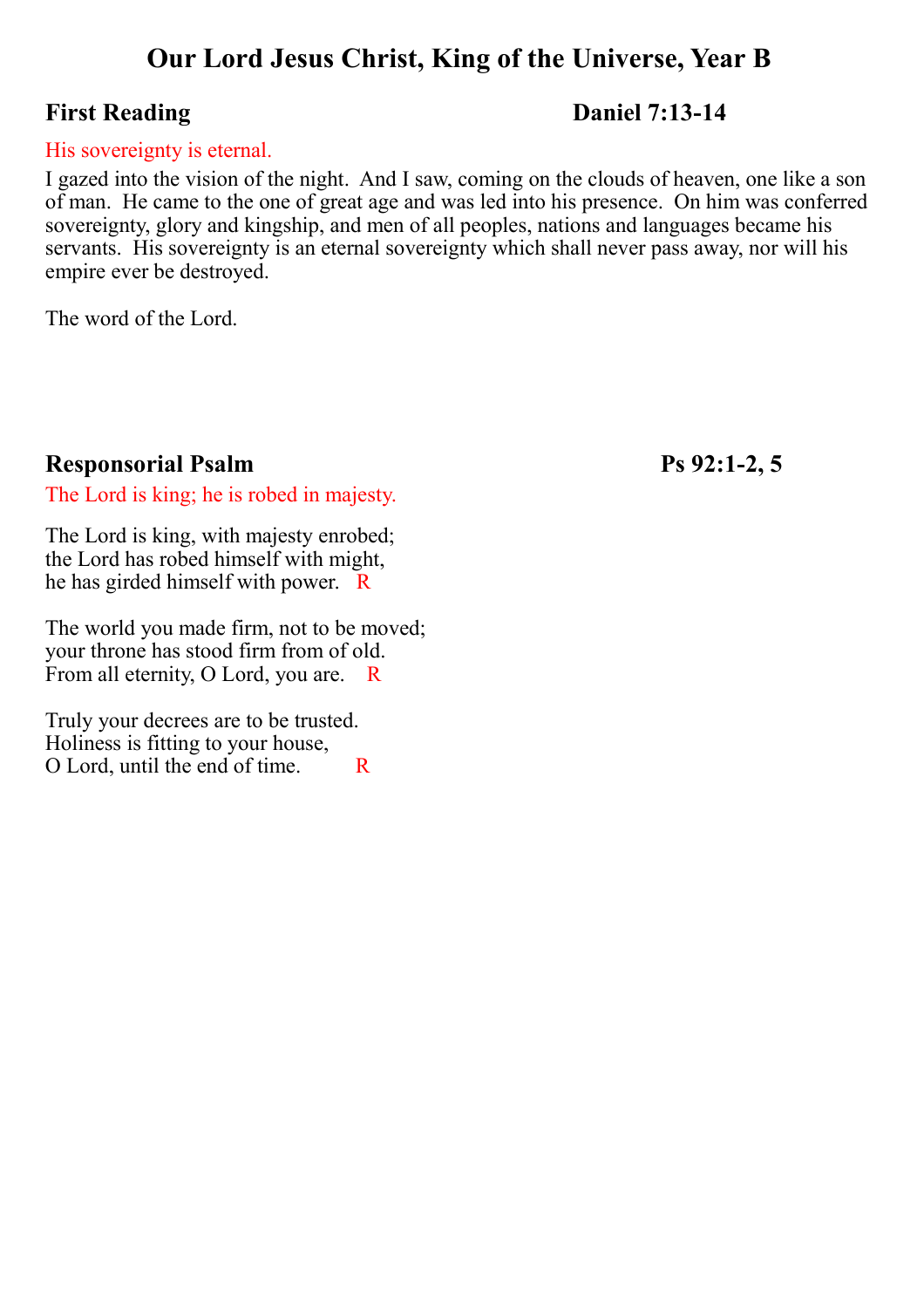# **Our Lord Jesus Christ, King of the Universe, Year B**

# **First Reading Daniel 7:13-14**

#### His sovereignty is eternal.

I gazed into the vision of the night. And I saw, coming on the clouds of heaven, one like a son of man. He came to the one of great age and was led into his presence. On him was conferred sovereignty, glory and kingship, and men of all peoples, nations and languages became his servants. His sovereignty is an eternal sovereignty which shall never pass away, nor will his empire ever be destroyed.

The word of the Lord.

# **Responsorial Psalm Ps 92:1-2, 5**

The Lord is king; he is robed in majesty.

The Lord is king, with majesty enrobed; the Lord has robed himself with might, he has girded himself with power. R

The world you made firm, not to be moved; your throne has stood firm from of old. From all eternity, O Lord, you are. R

Truly your decrees are to be trusted. Holiness is fitting to your house, O Lord, until the end of time. R